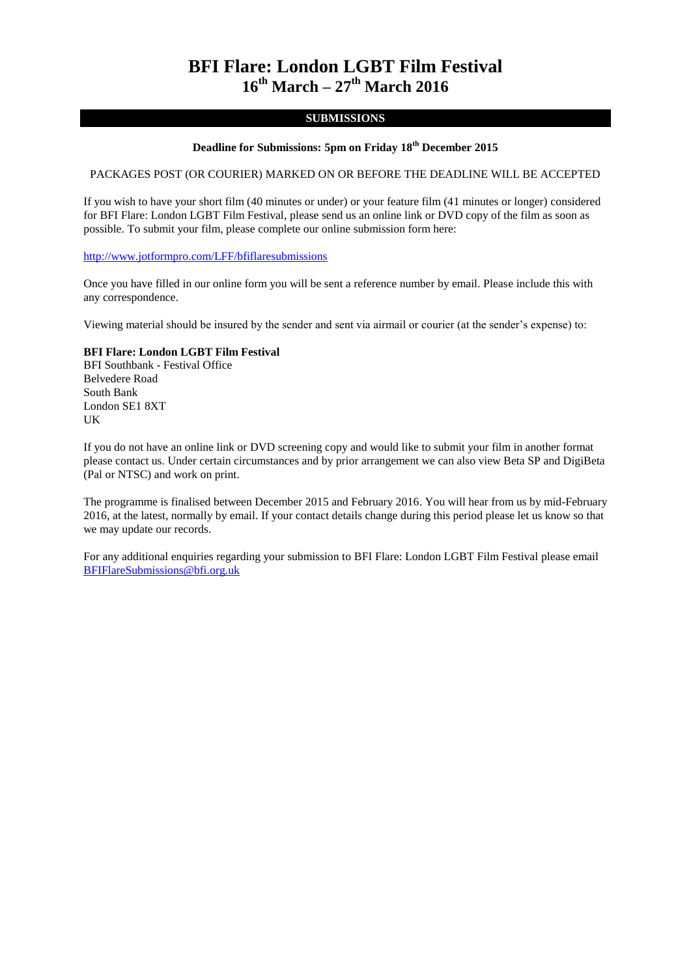# **BFI Flare: London LGBT Film Festival 16th March – 27th March 2016**

### **SUBMISSIONS**

### **Deadline for Submissions: 5pm on Friday 18 th December 2015**

#### PACKAGES POST (OR COURIER) MARKED ON OR BEFORE THE DEADLINE WILL BE ACCEPTED

If you wish to have your short film (40 minutes or under) or your feature film (41 minutes or longer) considered for BFI Flare: London LGBT Film Festival, please send us an online link or DVD copy of the film as soon as possible. To submit your film, please complete our online submission form here:

<http://www.jotformpro.com/LFF/bfiflaresubmissions>

Once you have filled in our online form you will be sent a reference number by email. Please include this with any correspondence.

Viewing material should be insured by the sender and sent via airmail or courier (at the sender's expense) to:

#### **BFI Flare: London LGBT Film Festival**

BFI Southbank - Festival Office Belvedere Road South Bank London SE1 8XT UK

If you do not have an online link or DVD screening copy and would like to submit your film in another format please contact us. Under certain circumstances and by prior arrangement we can also view Beta SP and DigiBeta (Pal or NTSC) and work on print.

The programme is finalised between December 2015 and February 2016. You will hear from us by mid-February 2016, at the latest, normally by email. If your contact details change during this period please let us know so that we may update our records.

For any additional enquiries regarding your submission to BFI Flare: London LGBT Film Festival please email [BFIFlareSubmissions@bfi.org.uk](mailto:BFIFlareSubmissions@bfi.org.uk)